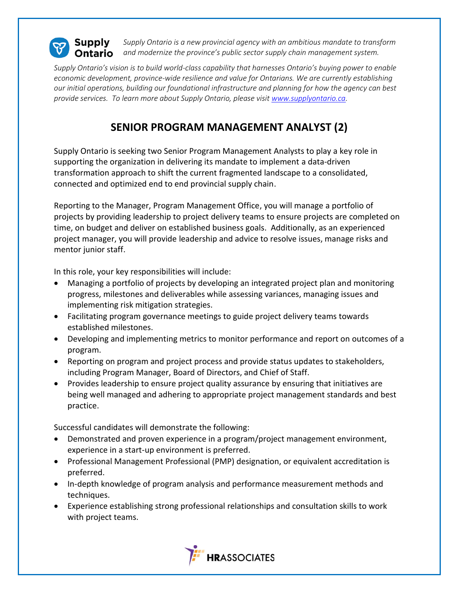

*Supply Ontario is a new provincial agency with an ambitious mandate to transform and modernize the province's public sector supply chain management system.*

*Supply Ontario's vision is to build world-class capability that harnesses Ontario's buying power to enable economic development, province-wide resilience and value for Ontarians. We are currently establishing our initial operations, building our foundational infrastructure and planning for how the agency can best provide services. To learn more about Supply Ontario, please visit [www.supplyontario.ca.](http://www.supplyontario.ca/)* 

## **SENIOR PROGRAM MANAGEMENT ANALYST (2)**

Supply Ontario is seeking two Senior Program Management Analysts to play a key role in supporting the organization in delivering its mandate to implement a data-driven transformation approach to shift the current fragmented landscape to a consolidated, connected and optimized end to end provincial supply chain.

Reporting to the Manager, Program Management Office, you will manage a portfolio of projects by providing leadership to project delivery teams to ensure projects are completed on time, on budget and deliver on established business goals. Additionally, as an experienced project manager, you will provide leadership and advice to resolve issues, manage risks and mentor junior staff.

In this role, your key responsibilities will include:

- Managing a portfolio of projects by developing an integrated project plan and monitoring progress, milestones and deliverables while assessing variances, managing issues and implementing risk mitigation strategies.
- Facilitating program governance meetings to guide project delivery teams towards established milestones.
- Developing and implementing metrics to monitor performance and report on outcomes of a program.
- Reporting on program and project process and provide status updates to stakeholders, including Program Manager, Board of Directors, and Chief of Staff.
- Provides leadership to ensure project quality assurance by ensuring that initiatives are being well managed and adhering to appropriate project management standards and best practice.

Successful candidates will demonstrate the following:

- Demonstrated and proven experience in a program/project management environment, experience in a start-up environment is preferred.
- Professional Management Professional (PMP) designation, or equivalent accreditation is preferred.
- In-depth knowledge of program analysis and performance measurement methods and techniques.
- Experience establishing strong professional relationships and consultation skills to work with project teams.